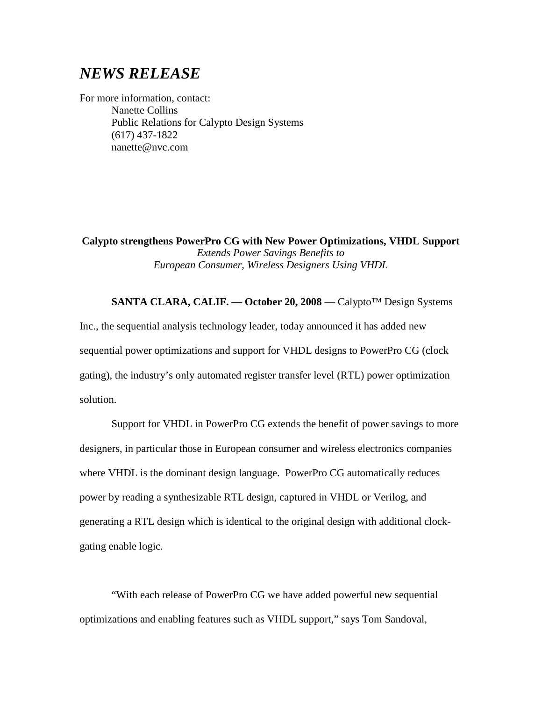## *NEWS RELEASE*

For more information, contact: Nanette Collins Public Relations for Calypto Design Systems (617) 437-1822 nanette@nvc.com

**Calypto strengthens PowerPro CG with New Power Optimizations, VHDL Support** *Extends Power Savings Benefits to European Consumer, Wireless Designers Using VHDL*

**SANTA CLARA, CALIF. –– October 20, 2008** –– Calypto™ Design Systems Inc., the sequential analysis technology leader, today announced it has added new sequential power optimizations and support for VHDL designs to PowerPro CG (clock gating), the industry's only automated register transfer level (RTL) power optimization

solution.

Support for VHDL in PowerPro CG extends the benefit of power savings to more designers, in particular those in European consumer and wireless electronics companies where VHDL is the dominant design language. PowerPro CG automatically reduces power by reading a synthesizable RTL design, captured in VHDL or Verilog, and generating a RTL design which is identical to the original design with additional clockgating enable logic.

"With each release of PowerPro CG we have added powerful new sequential optimizations and enabling features such as VHDL support," says Tom Sandoval,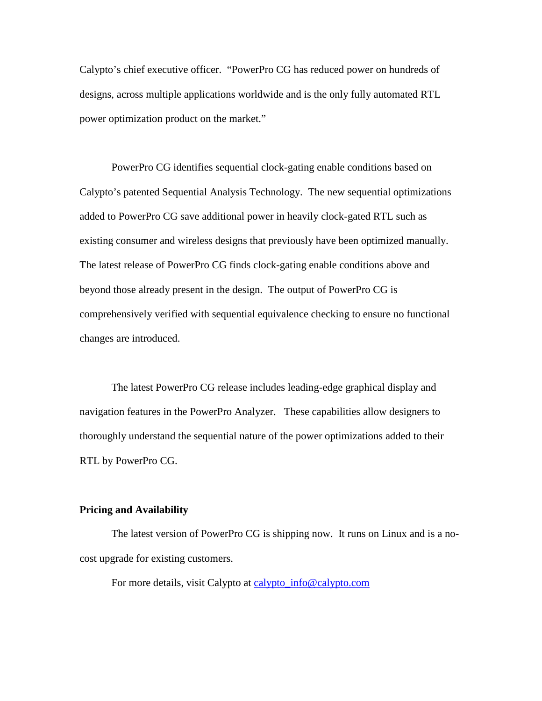Calypto's chief executive officer. "PowerPro CG has reduced power on hundreds of designs, across multiple applications worldwide and is the only fully automated RTL power optimization product on the market."

PowerPro CG identifies sequential clock-gating enable conditions based on Calypto's patented Sequential Analysis Technology. The new sequential optimizations added to PowerPro CG save additional power in heavily clock-gated RTL such as existing consumer and wireless designs that previously have been optimized manually. The latest release of PowerPro CG finds clock-gating enable conditions above and beyond those already present in the design. The output of PowerPro CG is comprehensively verified with sequential equivalence checking to ensure no functional changes are introduced.

The latest PowerPro CG release includes leading-edge graphical display and navigation features in the PowerPro Analyzer. These capabilities allow designers to thoroughly understand the sequential nature of the power optimizations added to their RTL by PowerPro CG.

## **Pricing and Availability**

The latest version of PowerPro CG is shipping now. It runs on Linux and is a nocost upgrade for existing customers.

For more details, visit Calypto at [calypto\\_info@calypto.com](mailto:calypto_info@calypto.com)